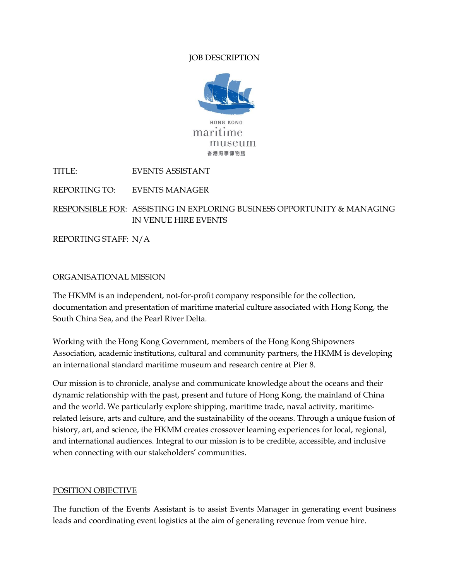# JOB DESCRIPTION



TITLE: EVENTS ASSISTANT

REPORTING TO: EVENTS MANAGER

RESPONSIBLE FOR: ASSISTING IN EXPLORING BUSINESS OPPORTUNITY & MANAGING IN VENUE HIRE EVENTS

REPORTING STAFF: N/A

## ORGANISATIONAL MISSION

The HKMM is an independent, not-for-profit company responsible for the collection, documentation and presentation of maritime material culture associated with Hong Kong, the South China Sea, and the Pearl River Delta.

Working with the Hong Kong Government, members of the Hong Kong Shipowners Association, academic institutions, cultural and community partners, the HKMM is developing an international standard maritime museum and research centre at Pier 8.

Our mission is to chronicle, analyse and communicate knowledge about the oceans and their dynamic relationship with the past, present and future of Hong Kong, the mainland of China and the world. We particularly explore shipping, maritime trade, naval activity, maritimerelated leisure, arts and culture, and the sustainability of the oceans. Through a unique fusion of history, art, and science, the HKMM creates crossover learning experiences for local, regional, and international audiences. Integral to our mission is to be credible, accessible, and inclusive when connecting with our stakeholders' communities.

#### POSITION OBJECTIVE

The function of the Events Assistant is to assist Events Manager in generating event business leads and coordinating event logistics at the aim of generating revenue from venue hire.